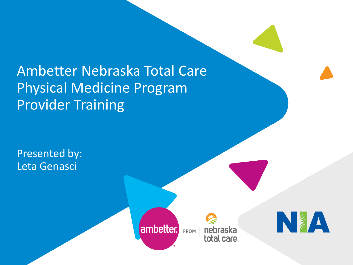Ambetter Nebraska Total Care Physical Medicine Program Provider Training

Presented by: Leta Genasci



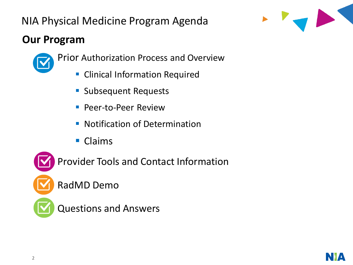# NIA Physical Medicine Program Agenda

# **Our Program**



- **EXEC** Clinical Information Required
- Subsequent Requests
- **Peer-to-Peer Review**
- Notification of Determination
- Claims

Provider Tools and Contact Information

RadMD Demo

Questions and Answers



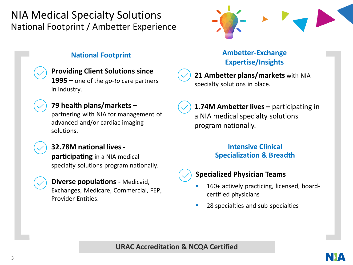### NIA Medical Specialty Solutions National Footprint / Ambetter Experience



### **Providing Client Solutions since**

**1995 –** one of the *go-to* care partners in industry.

### **79 health plans/markets –**

partnering with NIA for management of advanced and/or cardiac imaging solutions.

### **32.78M national lives -**

**participating** in a NIA medical specialty solutions program nationally.

**Diverse populations -** Medicaid, Exchanges, Medicare, Commercial, FEP, Provider Entities.

### **National Footprint Community Community Ambetter-Exchange Expertise/Insights**

**21 Ambetter plans/markets** with NIA specialty solutions in place.

**1.74M Ambetter lives –** participating in a NIA medical specialty solutions program nationally.

### **Intensive Clinical Specialization & Breadth**



### **Specialized Physician Teams**

- 160+ actively practicing, licensed, boardcertified physicians
- 28 specialties and sub-specialties

**URAC Accreditation & NCQA Certified**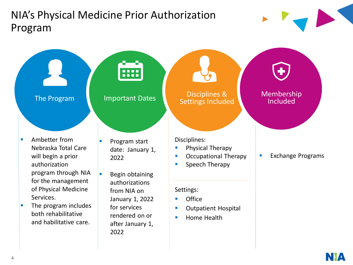# NIA's Physical Medicine Prior Authorization Program

The Program Important Dates Disciplines &

- Ambetter from Nebraska Total Care will begin a prior authorization program through NIA for the management of Physical Medicine Services.
- The program includes both rehabilitative and habilitative care.

■ Program start date: January 1, 2022

....

■ Begin obtaining authorizations from NIA on January 1, 2022 for services rendered on or after January 1, 2022

Disciplines:

**• Physical Therapy** 

Settings Included

- **Occupational Therapy**
- **•** Speech Therapy

### Settings:

- **Office**
- Outpatient Hospital
- **E** Home Health





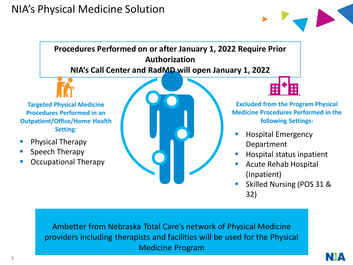### NIA's Physical Medicine Solution





Occupational Therapy

Acute Rehab Hospital (Inpatient) Skilled Nursing (POS 31 & 32)

Ambetter from Nebraska Total Care's network of Physical Medicine providers including therapists and facilities will be used for the Physical Medicine Program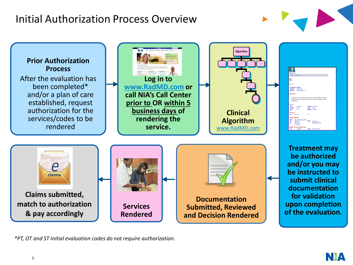# Initial Authorization Process Overview





*\*PT, OT and ST Initial evaluation codes do not require authorization.* 

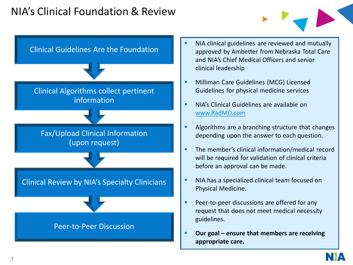### NIA's Clinical Foundation & Review



- **EXECT** NIA clinical guidelines are reviewed and mutually approved by Ambetter from Nebraska Total Care and NIA's Chief Medical Officers and senior clinical leadership
- **■** Milliman Care Guidelines (MCG) Licensed Guidelines for physical medicine services
- **E** NIA's Clinical Guidelines are available on [www.RadMD.com](http://www.radmd.com/)
- **EXE** Algorithms are a branching structure that changes depending upon the answer to each question.
- **·** The member's clinical information/medical record will be required for validation of clinical criteria before an approval can be made.
- NIA has a specialized clinical team focused on Physical Medicine.
- **Peer-to-peer discussions are offered for any** request that does not meet medical necessity guidelines.
- Our goal ensure that members are receiving **appropriate care.**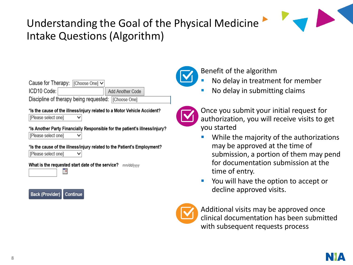# Understanding the Goal of the Physical Medicine Intake Questions (Algorithm)



#### \*Is the cause of the illness/injury related to a Motor Vehicle Accident?

[Please select one]

#### \*Is Another Party Financially Responsible for the patient's illness/injury?

Flease select onel

 $\checkmark$ 

 $\checkmark$ 

#### \*Is the cause of the illness/injury related to the Patient's Employment?

[Please select one]

#### What is the requested start date of the service? mm/dd/yyyy







### Benefit of the algorithm

- No delay in treatment for member
- No delay in submitting claims



Once you submit your initial request for authorization, you will receive visits to get you started

- While the majority of the authorizations may be approved at the time of submission, a portion of them may pend for documentation submission at the time of entry.
- You will have the option to accept or decline approved visits.



Additional visits may be approved once clinical documentation has been submitted with subsequent requests process

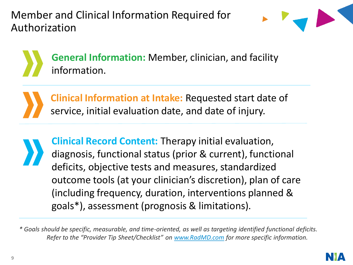Member and Clinical Information Required for Authorization



**General Information:** Member, clinician, and facility information.

**Clinical Information at Intake:** Requested start date of service, initial evaluation date, and date of injury.

**Clinical Record Content:** Therapy initial evaluation, diagnosis, functional status (prior & current), functional deficits, objective tests and measures, standardized outcome tools (at your clinician's discretion), plan of care (including frequency, duration, interventions planned & goals\*), assessment (prognosis & limitations).

*\* Goals should be specific, measurable, and time-oriented, as well as targeting identified functional deficits. Refer to the "Provider Tip Sheet/Checklist" on [www.RadMD.com](http://www.radmd.com/) for more specific information.*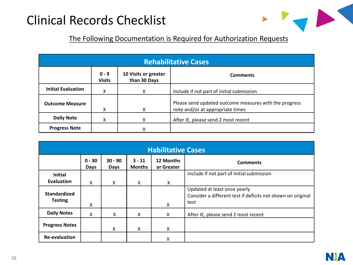# Clinical Records Checklist



### The Following Documentation is Required for Authorization Requests

| <b>Rehabilitative Cases</b>         |                                                                                     |                                           |                                                                                            |  |  |  |
|-------------------------------------|-------------------------------------------------------------------------------------|-------------------------------------------|--------------------------------------------------------------------------------------------|--|--|--|
|                                     | 10 Visits or greater<br>$0 - 9$<br><b>Comments</b><br>than 30 Days<br><b>Visits</b> |                                           |                                                                                            |  |  |  |
| <b>Initial Evaluation</b><br>X<br>x |                                                                                     | Include if not part of initial submission |                                                                                            |  |  |  |
| <b>Outcome Measure</b><br>χ         |                                                                                     | X                                         | Please send updated outcome measures with the progress<br>note and/or at appropriate times |  |  |  |
| <b>Daily Note</b><br>X<br>χ         |                                                                                     |                                           | After IE, please send 2 most recent                                                        |  |  |  |
| <b>Progress Note</b>                |                                                                                     | x                                         |                                                                                            |  |  |  |

| <b>Habilitative Cases</b>             |                  |                          |                           |                         |                                                                                                     |  |  |
|---------------------------------------|------------------|--------------------------|---------------------------|-------------------------|-----------------------------------------------------------------------------------------------------|--|--|
|                                       | $0 - 30$<br>Days | $30 - 90$<br><b>Days</b> | $3 - 11$<br><b>Months</b> | 12 Months<br>or Greater | <b>Comments</b>                                                                                     |  |  |
| <b>Initial</b><br><b>Evaluation</b>   | X                | X                        | x                         | X                       | Include if not part of initial submission                                                           |  |  |
| <b>Standardized</b><br><b>Testing</b> | x                |                          |                           | X                       | Updated at least once yearly<br>Consider a different test if deficits not shown on original<br>test |  |  |
| <b>Daily Notes</b>                    | X                | X                        | X                         | X                       | After IE, please send 2 most recent                                                                 |  |  |
| <b>Progress Notes</b>                 |                  | x                        | X                         | X                       |                                                                                                     |  |  |
| <b>Re-evaluation</b>                  |                  |                          |                           | Χ                       |                                                                                                     |  |  |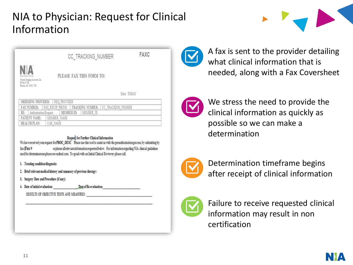# NIA to Physician: Request for Clinical Information



CC TRACKING NUMBER

PLEASE FAX THIS FORM TO:

Date: TODAY

FAXC

|              |               | ORDERING PROVIDER:   REO PROVIDER |                                                |  |  |                                                                     |  |  |
|--------------|---------------|-----------------------------------|------------------------------------------------|--|--|---------------------------------------------------------------------|--|--|
|              |               |                                   |                                                |  |  | FAX NUMBER: FAX RECIP PHONE   TRACKING NUMBER:   CC TRACKING NUMBER |  |  |
|              |               |                                   | RE: Authorization Request MEMBER ID: MEMBER ID |  |  |                                                                     |  |  |
|              | PATIENT NAME: |                                   | MEMBER NAME                                    |  |  |                                                                     |  |  |
| HEALTH PLAN: |               |                                   | CAR NAME                                       |  |  |                                                                     |  |  |

#### Request for Further Clinical Information

We have received your request for PROC\_DESC. Please use this tool to assist us with the preauthorization process, by submitting by orphone all relevant information requested below. For information regarding NIA clinical guidelines  $fax(Fax +$ used for determinations please see radind com. To speak with an Initial Clinical Reviewer please call:

- 1. Treating condition/diagnosis:
- 2. Brief relevant medical history and summary of previous therapy:
- 3. Surgery Date and Procedure (if any):
- 4. Date of initial evaluation: Date of Re-evaluation:

RESULTS OF OBJECTIVE TESTS AND MEASURES:



A fax is sent to the provider detailing what clinical information that is needed, along with a Fax Coversheet



We stress the need to provide the clinical information as quickly as possible so we can make a determination



Determination timeframe begins after receipt of clinical information



Failure to receive requested clinical information may result in non certification

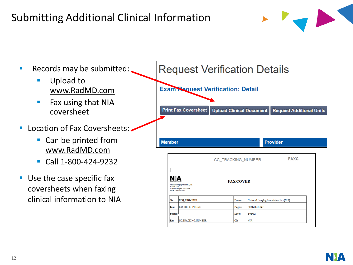# Submitting Additional Clinical Information



- Records may be submitted:
	- Upload to [www.RadMD.com](http://www.radmd.com/)
	- Fax using that NIA coversheet
- **· Location of Fax Coversheets:.** 
	- Can be printed from [www.RadMD.com](http://www.radmd.com/)
	- Call 1-800-424-9232
- Use the case specific fax coversheets when faxing clinical information to NIA

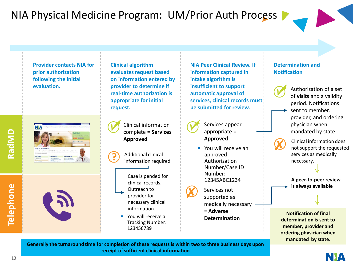# NIA Physical Medicine Program: UM/Prior Auth Process

**Provider contacts NIA for prior authorization following the initial evaluation.**

|                                                                                                                                                                                                                                                                                                               |          |                                |                  | <b>Binet MAtag@cocock Hubi Coded to</b> |               | <b>Station</b>                                                                                                          |           |
|---------------------------------------------------------------------------------------------------------------------------------------------------------------------------------------------------------------------------------------------------------------------------------------------------------------|----------|--------------------------------|------------------|-----------------------------------------|---------------|-------------------------------------------------------------------------------------------------------------------------|-----------|
| NIA                                                                                                                                                                                                                                                                                                           | Sign In- | <b>Autocontinue</b>            | Join The Betweek | <b>Access late</b>                      | Ovine         | <b>Financine</b>                                                                                                        | About Dr. |
|                                                                                                                                                                                                                                                                                                               |          |                                |                  |                                         | RadMD Sign In | 24/7 celling colorate for impaling facilities and<br>hauth state to blish built in his car.<br><b>STAGE BY ANNOUNCE</b> |           |
|                                                                                                                                                                                                                                                                                                               |          |                                |                  |                                         |               | Track an Authorization<br><b>Automotive Earling Nation</b>                                                              | ĸ.        |
| Welcome to RadMD.com<br>Favored by MA (Relional Imaging Associates), KadRO afters providers and contracted health plans a wealth of powerful<br>researces and information, including orders authorizations, claims, strend guidebook, and more. For additional information and<br>MA, yet sun Aldwelleau zur- |          |                                |                  |                                         |               |                                                                                                                         |           |
| <b>News &amp; Alerta</b>                                                                                                                                                                                                                                                                                      |          | More Online Tools              |                  | <b>Useful References</b>                |               |                                                                                                                         |           |
| a have to chile                                                                                                                                                                                                                                                                                               |          | a time Christi Goldman         |                  | A most to link the National             |               |                                                                                                                         |           |
|                                                                                                                                                                                                                                                                                                               |          | · Geguntic Imaging Printing ag |                  | · Imaging Provider Handbook             |               |                                                                                                                         |           |
| <b>David Plus Sark</b>                                                                                                                                                                                                                                                                                        |          | <b>Alamation</b>               |                  | · Earlying Sales Internation            |               |                                                                                                                         |           |

**Telephone**



**Clinical algorithm evaluates request based on information entered by provider to determine if real-time authorization is appropriate for initial request.**

Clinical information complete = **Services Approved**

Additional clinical information required

**?**

Case is pended for clinical records. Outreach to provider for necessary clinical information.

You will receive a Tracking Number: 123456789

**NIA Peer Clinical Review. If information captured in intake algorithm is insufficient to support automatic approval of services, clinical records must be submitted for review.** 



- Services appear appropriate = **Approved**
- You will receive an approved Authorization Number/Case ID Number: 12345ABC1234

Services not supported as medically necessary = **Adverse Determination** 

#### **Determination and Notification**



Authorization of a set of **visits** and a validity period. Notifications sent to member, provider, and ordering physician when mandated by state.

Clinical information does not support the requested services as medically necessary.

**A peer-to-peer review is always available**

**Notification of final determination is sent to member, provider and ordering physician when mandated by state.** 

**Generally the turnaround time for completion of these requests is within two to three business days upon receipt of sufficient clinical information** 

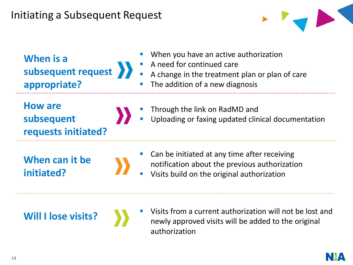## Initiating a Subsequent Request



**When is a subsequent request appropriate?**

- When you have an active authorization
- A need for continued care
- A A change in the treatment plan or plan of care
	- The addition of a new diagnosis

**How are subsequent requests initiated?**



- Through the link on RadMD and
- Uploading or faxing updated clinical documentation

**When can it be initiated?**

- Can be initiated at any time after receiving notification about the previous authorization
- Visits build on the original authorization

**Will I lose visits?**

Visits from a current authorization will not be lost and newly approved visits will be added to the original authorization

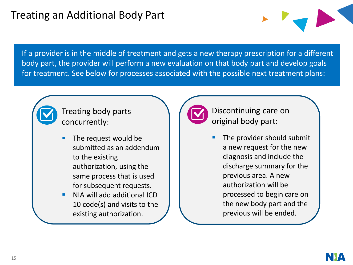If a provider is in the middle of treatment and gets a new therapy prescription for a different body part, the provider will perform a new evaluation on that body part and develop goals for treatment. See below for processes associated with the possible next treatment plans:



Treating body parts concurrently:

- The request would be submitted as an addendum to the existing authorization, using the same process that is used for subsequent requests.
- NIA will add additional ICD 10 code(s) and visits to the existing authorization.



Discontinuing care on original body part:

The provider should submit a new request for the new diagnosis and include the discharge summary for the previous area. A new authorization will be processed to begin care on the new body part and the previous will be ended.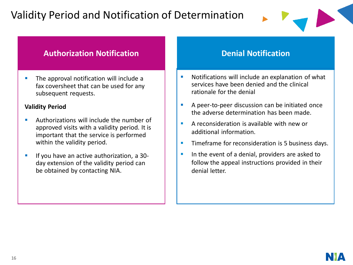# Validity Period and Notification of Determination



### **Authorization Notification**

■ The approval notification will include a fax coversheet that can be used for any subsequent requests.

### **Validity Period**

- Authorizations will include the number of approved visits with a validity period. It is important that the service is performed within the validity period.
- **E** If you have an active authorization, a 30day extension of the validity period can be obtained by contacting NIA.

### **Denial Notification**

- Notifications will include an explanation of what services have been denied and the clinical rationale for the denial
- A peer-to-peer discussion can be initiated once the adverse determination has been made.
- A reconsideration is available with new or additional information.
- Timeframe for reconsideration is 5 business days.
- In the event of a denial, providers are asked to follow the appeal instructions provided in their denial letter.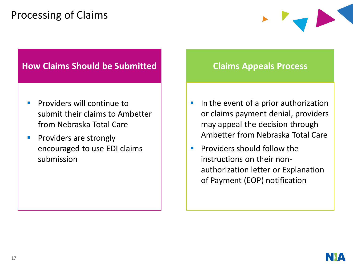# Processing of Claims



### **How Claims Should be Submitted**

- Providers will continue to submit their claims to Ambetter from Nebraska Total Care
- **•** Providers are strongly encouraged to use EDI claims submission

### **Claims Appeals Process**

- In the event of a prior authorization or claims payment denial, providers may appeal the decision through Ambetter from Nebraska Total Care
- Providers should follow the instructions on their nonauthorization letter or Explanation of Payment (EOP) notification

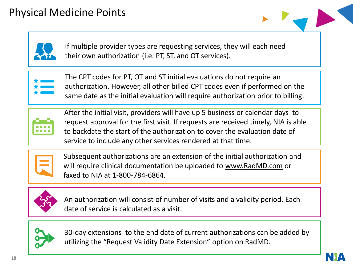



If multiple provider types are requesting services, they will each need their own authorization (i.e. PT, ST, and OT services).



The CPT codes for PT, OT and ST initial evaluations do not require an authorization. However, all other billed CPT codes even if performed on the same date as the initial evaluation will require authorization prior to billing.



After the initial visit, providers will have up 5 business or calendar days to request approval for the first visit. If requests are received timely, NIA is able to backdate the start of the authorization to cover the evaluation date of service to include any other services rendered at that time.



Subsequent authorizations are an extension of the initial authorization and will require clinical documentation be uploaded to [www.RadMD.com](http://www.radmd.com/) or faxed to NIA at 1-800-784-6864.



An authorization will consist of number of visits and a validity period. Each date of service is calculated as a visit.



30-day extensions to the end date of current authorizations can be added by utilizing the "Request Validity Date Extension" option on RadMD.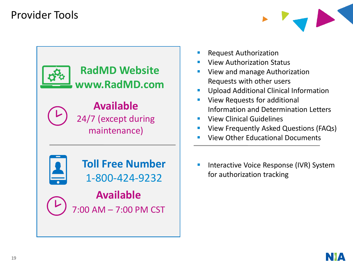## Provider Tools





- **Request Authorization**
- **View Authorization Status**
- View and manage Authorization Requests with other users
- Upload Additional Clinical Information
- View Requests for additional Information and Determination Letters
- **View Clinical Guidelines**
- View Frequently Asked Questions (FAQs)
- **View Other Educational Documents**
- Interactive Voice Response (IVR) System for authorization tracking

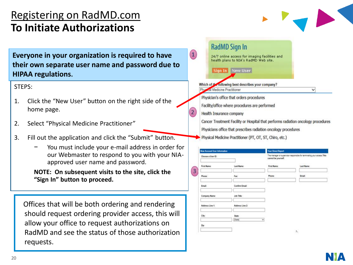### Registering on RadMD.com **To Initiate Authorizations**



**Everyone in your organization is required to have their own separate user name and password due to HIPAA regulations.**

### STEPS:

- 1. Click the "New User" button on the right side of the home page.
- 2. Select "Physical Medicine Practitioner"
- 3. Fill out the application and click the "Submit" button.
	- − You must include your e-mail address in order for our Webmaster to respond to you with your NIAapproved user name and password.

**NOTE: On subsequent visits to the site, click the "Sign In" button to proceed.**

Offices that will be both ordering and rendering should request ordering provider access, this will allow your office to request authorizations on RadMD and see the status of those authorization requests.

| RadMD Sign In                                                                              |
|--------------------------------------------------------------------------------------------|
| 24/7 online access for imaging facilities and<br>health plans to NIA's RadMD Web site.     |
| Sign In New User                                                                           |
| Which of the following best describes your company?<br>Physical Medicine Practitioner<br>v |
| Physician's office that orders procedures                                                  |
| Facility/office where procedures are performed                                             |
| Health Insurance company                                                                   |
| Cancer Treatment Facility or Hospital that performs radiation oncology procedures          |
| Physicians office that prescribes radiation oncology procedures                            |
| Physical Medicine Practitioner (PT, OT, ST, Chiro, etc.)                                   |

 $\bf(1)$ 

| <b>New Account User Information</b> |                        | <b>Your Direct Report</b> |                                                                         |
|-------------------------------------|------------------------|---------------------------|-------------------------------------------------------------------------|
| Choose a User ID:                   |                        | cannot be yourself.       | The manager or supervisor responsible for terminating your access. This |
| First Name:                         | Last Name:             | First Name:               | Last Name:                                                              |
| Phone:                              | Fax:                   | Phone:                    | Email:                                                                  |
| Email:                              | Confirm Email:         |                           |                                                                         |
| Company Name:                       | Job Title:             |                           |                                                                         |
| Address Line 1:                     | Address Line 2:        |                           |                                                                         |
| City:                               | State:<br>[State]<br>٧ |                           |                                                                         |
| Zip:                                |                        |                           |                                                                         |
|                                     |                        |                           | $\Lambda$                                                               |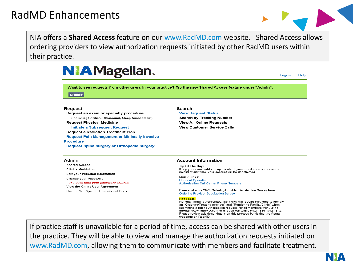

NIA offers a **Shared Access** feature on our [www.RadMD.com](http://www.radmd.com/) website. Shared Access allows ordering providers to view authorization requests initiated by other RadMD users within their practice.



#### Admin

**Shared Access Clinical Guidelines Edit your Personal Information Change your Password** 143 days until your password expires. View the Online User Agreement **Health Plan Specific Educational Docs** 

#### **Account Information**

Tip Of The Day: Keep your email address up to date. If your email address becomes invalid at any time, your account will be deactivated.

**Quick Links: Hours of Operation Authorization Call Center Phone Numbers** 

Please take the 2020 Ordering Provider Satisfaction Survey here: **Ordering Provider Satisfaction Survey** 

#### **Hot Topic:**

National Imaging Associates, Inc. (NIA) will require providers to identify an "Ordering/Treating provider" and "Rendering Facility/Clinic" when submitting a prior authorization request, for all members with Aetna through www.RadMD.com or through our Call Center (866) 842-1542. Please review additional details on this process by visiting the Aetna webpage on RadMD.

If practice staff is unavailable for a period of time, access can be shared with other users in the practice. They will be able to view and manage the authorization requests initiated on [www.RadMD.com](http://www.radmd.com/), allowing them to communicate with members and facilitate treatment.

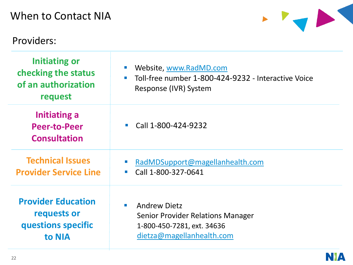# Wh

# Pr

| Vhen to Contact NIA                                                           |                                                                                                                                       |
|-------------------------------------------------------------------------------|---------------------------------------------------------------------------------------------------------------------------------------|
| roviders:                                                                     |                                                                                                                                       |
| <b>Initiating or</b><br>checking the status<br>of an authorization<br>request | Website, www.RadMD.com<br>Toll-free number 1-800-424-9232 - Interactive Voice<br>Response (IVR) System                                |
| Initiating a<br><b>Peer-to-Peer</b><br><b>Consultation</b>                    | Call 1-800-424-9232                                                                                                                   |
| <b>Technical Issues</b><br><b>Provider Service Line</b>                       | RadMDSupport@magellanhealth.com<br>$\mathcal{A}$<br>Call 1-800-327-0641<br>$\mathcal{A}$                                              |
| <b>Provider Education</b><br>requests or<br>questions specific<br>to NIA      | <b>Andrew Dietz</b><br>$\blacksquare$<br>Senior Provider Relations Manager<br>1-800-450-7281, ext. 34636<br>dietza@magellanhealth.com |

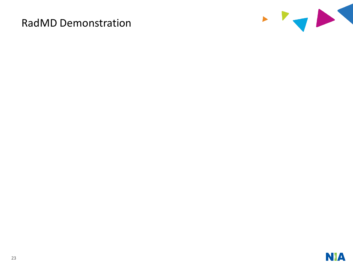### RadMD Demonstration